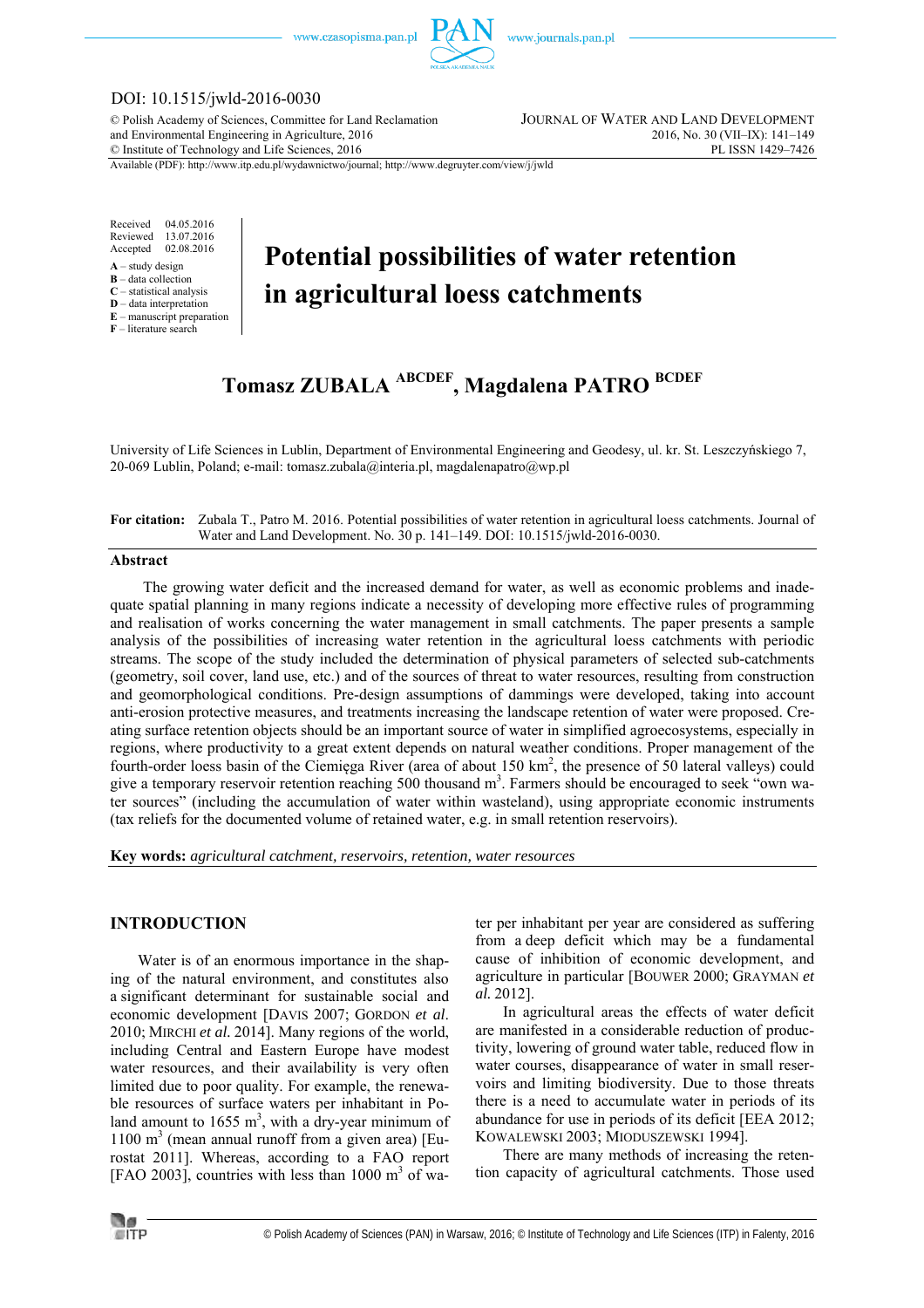

# DOI: 10.1515/jwld-2016-0030

© Polish Academy of Sciences, Committee for Land Reclamation JOURNAL OF WATER AND LAND DEVELOPMENT and Environmental Engineering in Agriculture, 2016 2016, No. 30 (VII–IX): 141–149<br>
© Institute of Technology and Life Sciences, 2016  $\oslash$  Institute of Technology and Life Sciences, 2016

Available (PDF): http://www.itp.edu.pl/wydawnictwo/journal; http://www.degruyter.com/view/j/jwld

Received 04.05.2016 Reviewed 13.07.2016<br>Accepted 02.08.2016 02.08.2016

- **A** study design
- **B** data collection
- **C** statistical analysis **D** – data interpretation
- **E** manuscript preparation

**F** – literature search

# **Potential possibilities of water retention in agricultural loess catchments**

# **Tomasz ZUBALA ABCDEF, Magdalena PATRO BCDEF**

University of Life Sciences in Lublin, Department of Environmental Engineering and Geodesy, ul. kr. St. Leszczyńskiego 7, 20-069 Lublin, Poland; e-mail: tomasz.zubala@interia.pl, magdalenapatro@wp.pl

#### **For citation:** Zubala T., Patro M. 2016. Potential possibilities of water retention in agricultural loess catchments. Journal of Water and Land Development. No. 30 p. 141–149. DOI: 10.1515/jwld-2016-0030.

#### **Abstract**

The growing water deficit and the increased demand for water, as well as economic problems and inadequate spatial planning in many regions indicate a necessity of developing more effective rules of programming and realisation of works concerning the water management in small catchments. The paper presents a sample analysis of the possibilities of increasing water retention in the agricultural loess catchments with periodic streams. The scope of the study included the determination of physical parameters of selected sub-catchments (geometry, soil cover, land use, etc.) and of the sources of threat to water resources, resulting from construction and geomorphological conditions. Pre-design assumptions of dammings were developed, taking into account anti-erosion protective measures, and treatments increasing the landscape retention of water were proposed. Creating surface retention objects should be an important source of water in simplified agroecosystems, especially in regions, where productivity to a great extent depends on natural weather conditions. Proper management of the fourth-order loess basin of the Ciemięga River (area of about 150 km<sup>2</sup>, the presence of 50 lateral valleys) could give a temporary reservoir retention reaching 500 thousand m<sup>3</sup>. Farmers should be encouraged to seek "own water sources" (including the accumulation of water within wasteland), using appropriate economic instruments (tax reliefs for the documented volume of retained water, e.g. in small retention reservoirs).

**Key words:** *agricultural catchment, reservoirs, retention, water resources* 

# **INTRODUCTION**

Water is of an enormous importance in the shaping of the natural environment, and constitutes also a significant determinant for sustainable social and economic development [DAVIS 2007; GORDON *et al*. 2010; MIRCHI *et al.* 2014]. Many regions of the world, including Central and Eastern Europe have modest water resources, and their availability is very often limited due to poor quality. For example, the renewable resources of surface waters per inhabitant in Poland amount to  $1655 \text{ m}^3$ , with a dry-year minimum of  $1100 \text{ m}^3$  (mean annual runoff from a given area) [Eurostat 2011]. Whereas, according to a FAO report [FAO 2003], countries with less than  $1000 \text{ m}^3$  of water per inhabitant per year are considered as suffering from a deep deficit which may be a fundamental cause of inhibition of economic development, and agriculture in particular [BOUWER 2000; GRAYMAN *et al.* 2012].

In agricultural areas the effects of water deficit are manifested in a considerable reduction of productivity, lowering of ground water table, reduced flow in water courses, disappearance of water in small reservoirs and limiting biodiversity. Due to those threats there is a need to accumulate water in periods of its abundance for use in periods of its deficit [EEA 2012; KOWALEWSKI 2003; MIODUSZEWSKI 1994].

There are many methods of increasing the retention capacity of agricultural catchments. Those used

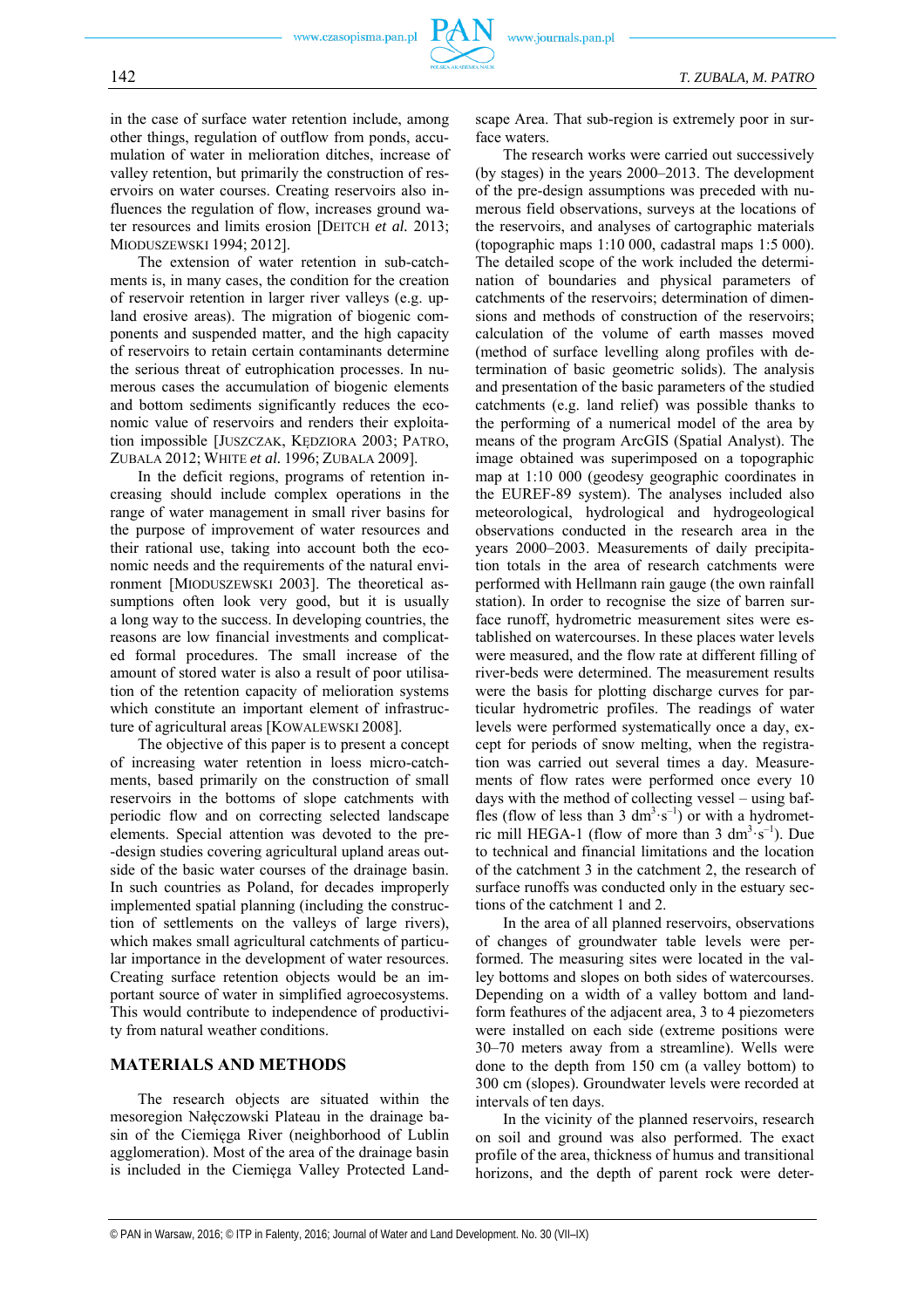in the case of surface water retention include, among other things, regulation of outflow from ponds, accumulation of water in melioration ditches, increase of valley retention, but primarily the construction of reservoirs on water courses. Creating reservoirs also influences the regulation of flow, increases ground water resources and limits erosion [DEITCH *et al.* 2013; MIODUSZEWSKI 1994; 2012].

The extension of water retention in sub-catchments is, in many cases, the condition for the creation of reservoir retention in larger river valleys (e.g. upland erosive areas). The migration of biogenic components and suspended matter, and the high capacity of reservoirs to retain certain contaminants determine the serious threat of eutrophication processes. In numerous cases the accumulation of biogenic elements and bottom sediments significantly reduces the economic value of reservoirs and renders their exploitation impossible [JUSZCZAK, KĘDZIORA 2003; PATRO, ZUBALA 2012; WHITE *et al.* 1996; ZUBALA 2009].

In the deficit regions, programs of retention increasing should include complex operations in the range of water management in small river basins for the purpose of improvement of water resources and their rational use, taking into account both the economic needs and the requirements of the natural environment [MIODUSZEWSKI 2003]. The theoretical assumptions often look very good, but it is usually a long way to the success. In developing countries, the reasons are low financial investments and complicated formal procedures. The small increase of the amount of stored water is also a result of poor utilisation of the retention capacity of melioration systems which constitute an important element of infrastructure of agricultural areas [KOWALEWSKI 2008].

The objective of this paper is to present a concept of increasing water retention in loess micro-catchments, based primarily on the construction of small reservoirs in the bottoms of slope catchments with periodic flow and on correcting selected landscape elements. Special attention was devoted to the pre- -design studies covering agricultural upland areas outside of the basic water courses of the drainage basin. In such countries as Poland, for decades improperly implemented spatial planning (including the construction of settlements on the valleys of large rivers), which makes small agricultural catchments of particular importance in the development of water resources. Creating surface retention objects would be an important source of water in simplified agroecosystems. This would contribute to independence of productivity from natural weather conditions.

### **MATERIALS AND METHODS**

The research objects are situated within the mesoregion Nałęczowski Plateau in the drainage basin of the Ciemięga River (neighborhood of Lublin agglomeration). Most of the area of the drainage basin is included in the Ciemięga Valley Protected Landscape Area. That sub-region is extremely poor in surface waters.

The research works were carried out successively (by stages) in the years 2000–2013. The development of the pre-design assumptions was preceded with numerous field observations, surveys at the locations of the reservoirs, and analyses of cartographic materials (topographic maps 1:10 000, cadastral maps 1:5 000). The detailed scope of the work included the determination of boundaries and physical parameters of catchments of the reservoirs; determination of dimensions and methods of construction of the reservoirs; calculation of the volume of earth masses moved (method of surface levelling along profiles with determination of basic geometric solids). The analysis and presentation of the basic parameters of the studied catchments (e.g. land relief) was possible thanks to the performing of a numerical model of the area by means of the program ArcGIS (Spatial Analyst). The image obtained was superimposed on a topographic map at 1:10 000 (geodesy geographic coordinates in the EUREF-89 system). The analyses included also meteorological, hydrological and hydrogeological observations conducted in the research area in the years 2000–2003. Measurements of daily precipitation totals in the area of research catchments were performed with Hellmann rain gauge (the own rainfall station). In order to recognise the size of barren surface runoff, hydrometric measurement sites were established on watercourses. In these places water levels were measured, and the flow rate at different filling of river-beds were determined. The measurement results were the basis for plotting discharge curves for particular hydrometric profiles. The readings of water levels were performed systematically once a day, except for periods of snow melting, when the registration was carried out several times a day. Measurements of flow rates were performed once every 10 days with the method of collecting vessel – using baffles (flow of less than 3  $dm^3 \cdot s^{-1}$ ) or with a hydrometric mill HEGA-1 (flow of more than  $3 \text{ dm}^3 \text{ s}^{-1}$ ). Due to technical and financial limitations and the location of the catchment 3 in the catchment 2, the research of surface runoffs was conducted only in the estuary sections of the catchment 1 and 2.

In the area of all planned reservoirs, observations of changes of groundwater table levels were performed. The measuring sites were located in the valley bottoms and slopes on both sides of watercourses. Depending on a width of a valley bottom and landform feathures of the adjacent area, 3 to 4 piezometers were installed on each side (extreme positions were 30–70 meters away from a streamline). Wells were done to the depth from 150 cm (a valley bottom) to 300 cm (slopes). Groundwater levels were recorded at intervals of ten days.

In the vicinity of the planned reservoirs, research on soil and ground was also performed. The exact profile of the area, thickness of humus and transitional horizons, and the depth of parent rock were deter-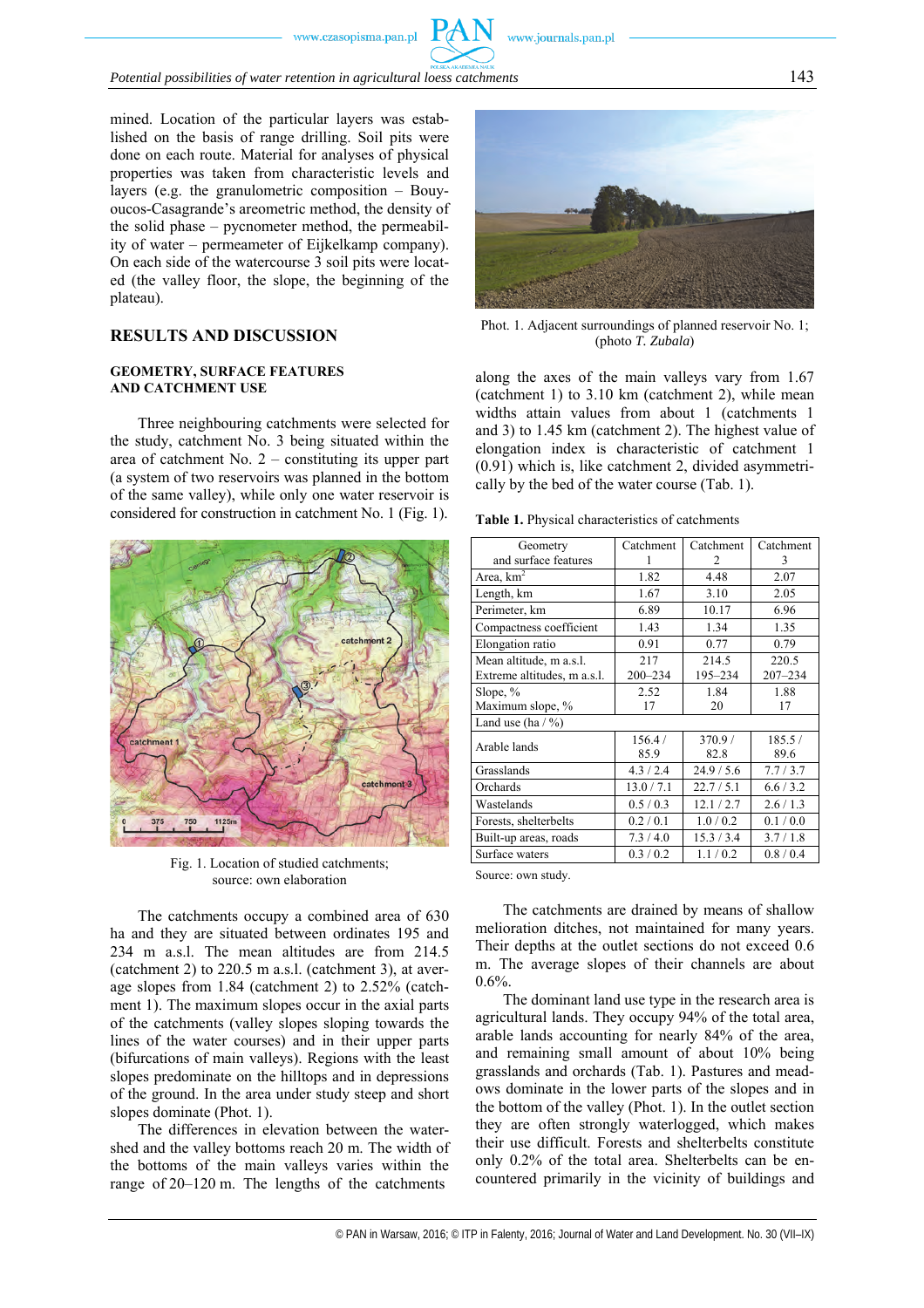*Potential possibilities of water retention in agricultural loess catchments* 143

mined. Location of the particular layers was established on the basis of range drilling. Soil pits were done on each route. Material for analyses of physical properties was taken from characteristic levels and layers (e.g. the granulometric composition – Bouyoucos-Casagrande's areometric method, the density of the solid phase – pycnometer method, the permeability of water – permeameter of Eijkelkamp company). On each side of the watercourse 3 soil pits were located (the valley floor, the slope, the beginning of the plateau).

# **RESULTS AND DISCUSSION**

#### **GEOMETRY, SURFACE FEATURES AND CATCHMENT USE**

Three neighbouring catchments were selected for the study, catchment No. 3 being situated within the area of catchment No. 2 – constituting its upper part (a system of two reservoirs was planned in the bottom of the same valley), while only one water reservoir is considered for construction in catchment No. 1 (Fig. 1).



Fig. 1. Location of studied catchments; source: own elaboration

The catchments occupy a combined area of 630 ha and they are situated between ordinates 195 and 234 m a.s.l. The mean altitudes are from 214.5 (catchment 2) to 220.5 m a.s.l. (catchment 3), at average slopes from 1.84 (catchment 2) to 2.52% (catchment 1). The maximum slopes occur in the axial parts of the catchments (valley slopes sloping towards the lines of the water courses) and in their upper parts (bifurcations of main valleys). Regions with the least slopes predominate on the hilltops and in depressions of the ground. In the area under study steep and short slopes dominate (Phot. 1).

The differences in elevation between the watershed and the valley bottoms reach 20 m. The width of the bottoms of the main valleys varies within the range of 20–120 m. The lengths of the catchments



Phot. 1. Adjacent surroundings of planned reservoir No. 1; (photo *T. Zubala*)

along the axes of the main valleys vary from 1.67 (catchment 1) to 3.10 km (catchment 2), while mean widths attain values from about 1 (catchments 1 and 3) to 1.45 km (catchment 2). The highest value of elongation index is characteristic of catchment 1 (0.91) which is, like catchment 2, divided asymmetrically by the bed of the water course (Tab. 1).

**Table 1.** Physical characteristics of catchments

| Geometry                    | Catchment  | Catchment     | Catchment   |  |  |  |
|-----------------------------|------------|---------------|-------------|--|--|--|
| and surface features        |            | $\mathcal{L}$ | 3           |  |  |  |
| Area, $km2$                 | 1.82       | 4.48          | 2.07        |  |  |  |
| Length, km                  | 1.67       | 3.10          | 2.05        |  |  |  |
| Perimeter, km               | 6.89       | 10.17         | 6.96        |  |  |  |
| Compactness coefficient     | 1.43       | 1.34          | 1.35        |  |  |  |
| Elongation ratio            | 0.91       | 0.77          | 0.79        |  |  |  |
| Mean altitude, m a.s.l.     | 217        | 214.5         | 220.5       |  |  |  |
| Extreme altitudes, m a.s.l. | 200-234    | 195-234       | $207 - 234$ |  |  |  |
| Slope, $%$                  | 2.52       | 1.84          | 1.88        |  |  |  |
| Maximum slope, %            | 17         | 20            | 17          |  |  |  |
| Land use (ha $/$ %)         |            |               |             |  |  |  |
| Arable lands                | 156.4 /    | 370.9/        | 185.5/      |  |  |  |
|                             | 85.9       | 82.8          | 89.6        |  |  |  |
| Grasslands                  | 4.3 / 2.4  | 24.9 / 5.6    | 7.7/3.7     |  |  |  |
| Orchards                    | 13.0 / 7.1 | 22.7/5.1      | 6.6 / 3.2   |  |  |  |
| Wastelands                  | 0.5/0.3    | 12.1 / 2.7    | 2.6/1.3     |  |  |  |
| Forests, shelterbelts       | 0.2 / 0.1  | 1.0/0.2       | 0.1 / 0.0   |  |  |  |
| Built-up areas, roads       | 7.3/4.0    | 15.3 / 3.4    | 3.7/1.8     |  |  |  |
| Surface waters              | 0.3 / 0.2  | 1.1/0.2       | 0.8 / 0.4   |  |  |  |
|                             |            |               |             |  |  |  |

Source: own study.

The catchments are drained by means of shallow melioration ditches, not maintained for many years. Their depths at the outlet sections do not exceed 0.6 m. The average slopes of their channels are about 0.6%.

The dominant land use type in the research area is agricultural lands. They occupy 94% of the total area, arable lands accounting for nearly 84% of the area, and remaining small amount of about 10% being grasslands and orchards (Tab. 1). Pastures and meadows dominate in the lower parts of the slopes and in the bottom of the valley (Phot. 1). In the outlet section they are often strongly waterlogged, which makes their use difficult. Forests and shelterbelts constitute only 0.2% of the total area. Shelterbelts can be encountered primarily in the vicinity of buildings and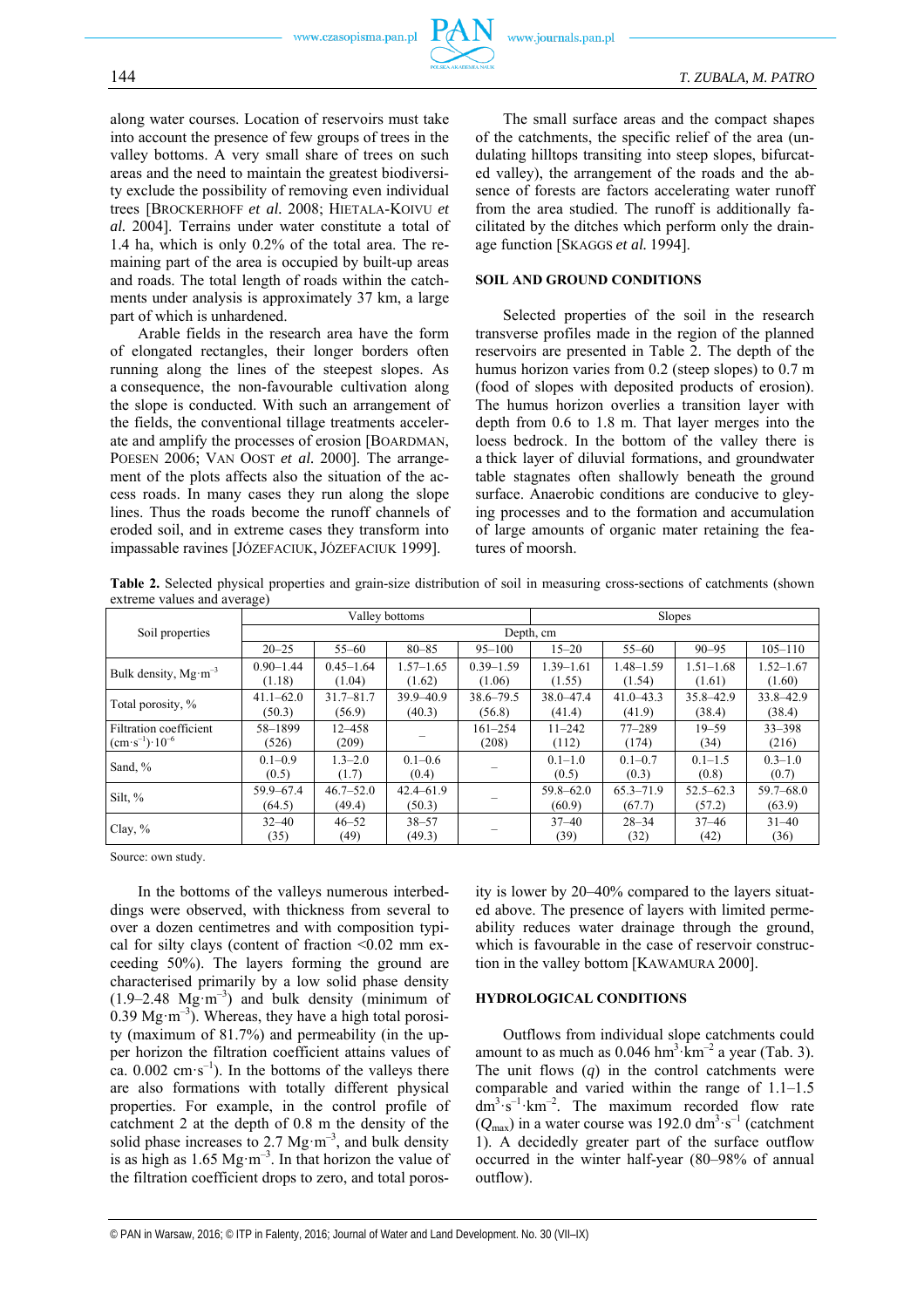

along water courses. Location of reservoirs must take into account the presence of few groups of trees in the valley bottoms. A very small share of trees on such areas and the need to maintain the greatest biodiversity exclude the possibility of removing even individual trees [BROCKERHOFF *et al.* 2008; HIETALA-KOIVU *et al.* 2004]. Terrains under water constitute a total of 1.4 ha, which is only 0.2% of the total area. The remaining part of the area is occupied by built-up areas and roads. The total length of roads within the catchments under analysis is approximately 37 km, a large part of which is unhardened.

Arable fields in the research area have the form of elongated rectangles, their longer borders often running along the lines of the steepest slopes. As a consequence, the non-favourable cultivation along the slope is conducted. With such an arrangement of the fields, the conventional tillage treatments accelerate and amplify the processes of erosion [BOARDMAN, POESEN 2006; VAN OOST *et al.* 2000]. The arrangement of the plots affects also the situation of the access roads. In many cases they run along the slope lines. Thus the roads become the runoff channels of eroded soil, and in extreme cases they transform into impassable ravines [JÓZEFACIUK, JÓZEFACIUK 1999].

The small surface areas and the compact shapes of the catchments, the specific relief of the area (undulating hilltops transiting into steep slopes, bifurcated valley), the arrangement of the roads and the absence of forests are factors accelerating water runoff from the area studied. The runoff is additionally facilitated by the ditches which perform only the drainage function [SKAGGS *et al.* 1994].

# **SOIL AND GROUND CONDITIONS**

Selected properties of the soil in the research transverse profiles made in the region of the planned reservoirs are presented in Table 2. The depth of the humus horizon varies from 0.2 (steep slopes) to 0.7 m (food of slopes with deposited products of erosion). The humus horizon overlies a transition layer with depth from 0.6 to 1.8 m. That layer merges into the loess bedrock. In the bottom of the valley there is a thick layer of diluvial formations, and groundwater table stagnates often shallowly beneath the ground surface. Anaerobic conditions are conducive to gleying processes and to the formation and accumulation of large amounts of organic mater retaining the features of moorsh.

**Table 2.** Selected physical properties and grain-size distribution of soil in measuring cross-sections of catchments (shown extreme values and average)

|                                                 |                         |                         | Valley bottoms          |                         | Slopes                  |                         |                         |                         |
|-------------------------------------------------|-------------------------|-------------------------|-------------------------|-------------------------|-------------------------|-------------------------|-------------------------|-------------------------|
| Soil properties                                 | Depth, cm               |                         |                         |                         |                         |                         |                         |                         |
|                                                 | $20 - 25$               | $55 - 60$               | $80 - 85$               | $95 - 100$              | $15 - 20$               | $55 - 60$               | $90 - 95$               | $105 - 110$             |
| Bulk density, $Mg·m-3$                          | $0.90 - 1.44$<br>(1.18) | $0.45 - 1.64$<br>(1.04) | $1.57 - 1.65$<br>(1.62) | $0.39 - 1.59$<br>(1.06) | $1.39 - 1.61$<br>(1.55) | 1.48–1.59<br>(1.54)     | $1.51 - 1.68$<br>(1.61) | $1.52 - 1.67$<br>(1.60) |
| Total porosity, %                               | $41.1 - 62.0$<br>(50.3) | $31.7 - 81.7$<br>(56.9) | $39.9 - 40.9$<br>(40.3) | $38.6 - 79.5$<br>(56.8) | 38.0-47.4<br>(41.4)     | $41.0 - 43.3$<br>(41.9) | $35.8 - 42.9$<br>(38.4) | 33.8-42.9<br>(38.4)     |
| Filtration coefficient<br>$(cm·s^{-1})·10^{-6}$ | 58-1899<br>(526)        | $12 - 458$<br>(209)     |                         | $161 - 254$<br>(208)    | $11 - 242$<br>(112)     | $77 - 289$<br>(174)     | $19 - 59$<br>(34)       | $33 - 398$<br>(216)     |
| Sand, %                                         | $0.1 - 0.9$<br>(0.5)    | $1.3 - 2.0$<br>(1.7)    | $0.1 - 0.6$<br>(0.4)    |                         | $0.1 - 1.0$<br>(0.5)    | $0.1 - 0.7$<br>(0.3)    | $0.1 - 1.5$<br>(0.8)    | $0.3 - 1.0$<br>(0.7)    |
| Silt, $%$                                       | 59.9-67.4<br>(64.5)     | $46.7 - 52.0$<br>(49.4) | $42.4 - 61.9$<br>(50.3) |                         | $59.8 - 62.0$<br>(60.9) | $65.3 - 71.9$<br>(67.7) | $52.5 - 62.3$<br>(57.2) | $59.7 - 68.0$<br>(63.9) |
| Clay, $%$                                       | $32 - 40$<br>(35)       | $46 - 52$<br>(49)       | $38 - 57$<br>(49.3)     |                         | $37 - 40$<br>(39)       | $28 - 34$<br>(32)       | $37 - 46$<br>(42)       | $31 - 40$<br>(36)       |

Source: own study.

In the bottoms of the valleys numerous interbeddings were observed, with thickness from several to over a dozen centimetres and with composition typical for silty clays (content of fraction  $\leq 0.02$  mm exceeding 50%). The layers forming the ground are characterised primarily by a low solid phase density  $(1.9-2.48 \text{ Mg} \cdot \text{m}^{-3})$  and bulk density (minimum of 0.39 Mg·m<sup>-3</sup>). Whereas, they have a high total porosity (maximum of 81.7%) and permeability (in the upper horizon the filtration coefficient attains values of ca.  $0.002 \text{ cm} \cdot \text{s}^{-1}$ ). In the bottoms of the valleys there are also formations with totally different physical properties. For example, in the control profile of catchment 2 at the depth of 0.8 m the density of the solid phase increases to 2.7  $Mg·m^{-3}$ , and bulk density is as high as 1.65 Mg·m<sup>-3</sup>. In that horizon the value of the filtration coefficient drops to zero, and total porosity is lower by 20–40% compared to the layers situated above. The presence of layers with limited permeability reduces water drainage through the ground, which is favourable in the case of reservoir construction in the valley bottom [KAWAMURA 2000].

### **HYDROLOGICAL CONDITIONS**

Outflows from individual slope catchments could amount to as much as  $0.046 \text{ hm}^3 \cdot \text{km}^{-2}$  a year (Tab. 3). The unit flows  $(q)$  in the control catchments were comparable and varied within the range of 1.1–1.5  $dm^3 \cdot s^{-1} \cdot km^{-2}$ . The maximum recorded flow rate  $(Q_{\text{max}})$  in a water course was 192.0 dm<sup>3</sup>·s<sup>-1</sup> (catchment 1). A decidedly greater part of the surface outflow occurred in the winter half-year (80–98% of annual outflow).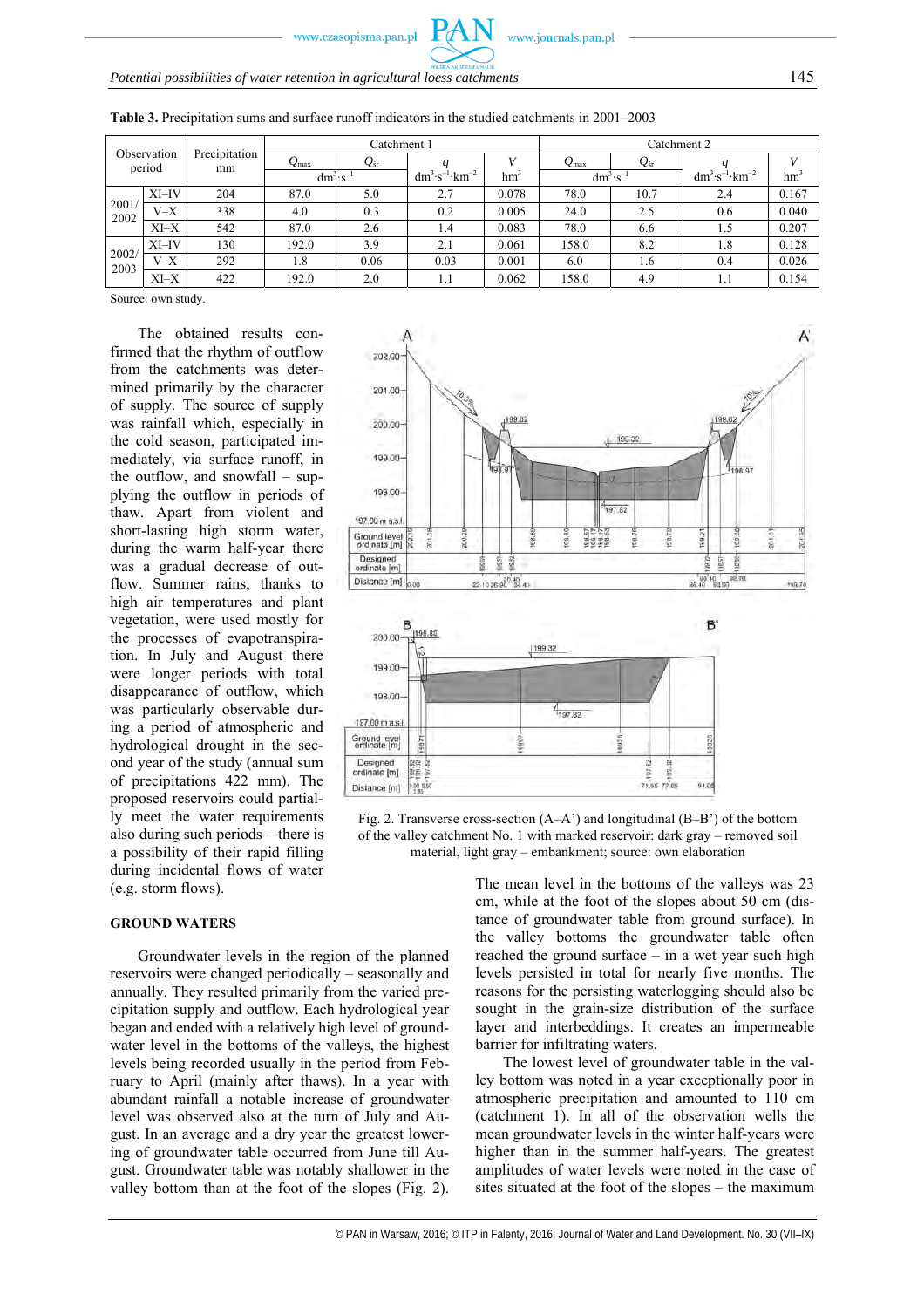| Observation  |          |                     | Catchment 1      |              |                                   |       | Catchment 2           |              |                                   |       |
|--------------|----------|---------------------|------------------|--------------|-----------------------------------|-------|-----------------------|--------------|-----------------------------------|-------|
|              | period   | Precipitation<br>mm | $Q_{\text{max}}$ | $Q_{\rm sr}$ |                                   |       | $Q_{\rm max}$         | $Q_{\rm sr}$ |                                   |       |
|              |          |                     | $dm^3 \cdot s^-$ |              | $dm^3 \cdot s^{-1} \cdot km^{-2}$ | hm    | $dm^{3} \cdot s^{-1}$ |              | $dm^3 \cdot s^{-1} \cdot km^{-2}$ | hm    |
|              | $XI$ -IV | 204                 | 87.0             | 5.0          | 2.7                               | 0.078 | 78.0                  | 10.7         | 2.4                               | 0.167 |
| 2001<br>2002 | $V-X$    | 338                 | 4.0              | 0.3          | 0.2                               | 0.005 | 24.0                  | 2.5          | 0.6                               | 0.040 |
|              | $XI-X$   | 542                 | 87.0             | 2.6          | 1.4                               | 0.083 | 78.0                  | 6.6          | 1.5                               | 0.207 |
| 2002<br>2003 | $XI$ -IV | 130                 | 192.0            | 3.9          | 2.1                               | 0.061 | 158.0                 | 8.2          | 1.8                               | 0.128 |
|              | $V-X$    | 292                 | 1.8              | 0.06         | 0.03                              | 0.001 | 6.0                   | 1.6          | 0.4                               | 0.026 |
|              | $XI-X$   | 422                 | 192.0            | 2.0          | 1.1                               | 0.062 | 158.0                 | 4.9          | 1.1                               | 0.154 |

**Table 3.** Precipitation sums and surface runoff indicators in the studied catchments in 2001–2003

Source: own study.

The obtained results confirmed that the rhythm of outflow from the catchments was determined primarily by the character of supply. The source of supply was rainfall which, especially in the cold season, participated immediately, via surface runoff, in the outflow, and snowfall – supplying the outflow in periods of thaw. Apart from violent and short-lasting high storm water, during the warm half-year there was a gradual decrease of outflow. Summer rains, thanks to high air temperatures and plant vegetation, were used mostly for the processes of evapotranspiration. In July and August there were longer periods with total disappearance of outflow, which was particularly observable during a period of atmospheric and hydrological drought in the second year of the study (annual sum of precipitations 422 mm). The proposed reservoirs could partially meet the water requirements also during such periods – there is a possibility of their rapid filling during incidental flows of water (e.g. storm flows).

#### **GROUND WATERS**

Groundwater levels in the region of the planned reservoirs were changed periodically – seasonally and annually. They resulted primarily from the varied precipitation supply and outflow. Each hydrological year began and ended with a relatively high level of groundwater level in the bottoms of the valleys, the highest levels being recorded usually in the period from February to April (mainly after thaws). In a year with abundant rainfall a notable increase of groundwater level was observed also at the turn of July and August. In an average and a dry year the greatest lowering of groundwater table occurred from June till August. Groundwater table was notably shallower in the valley bottom than at the foot of the slopes (Fig. 2).



Fig. 2. Transverse cross-section (A–A') and longitudinal (B–B') of the bottom of the valley catchment No. 1 with marked reservoir: dark gray – removed soil material, light gray – embankment; source: own elaboration

The mean level in the bottoms of the valleys was 23 cm, while at the foot of the slopes about 50 cm (distance of groundwater table from ground surface). In the valley bottoms the groundwater table often reached the ground surface – in a wet year such high levels persisted in total for nearly five months. The reasons for the persisting waterlogging should also be sought in the grain-size distribution of the surface layer and interbeddings. It creates an impermeable barrier for infiltrating waters.

The lowest level of groundwater table in the valley bottom was noted in a year exceptionally poor in atmospheric precipitation and amounted to 110 cm (catchment 1). In all of the observation wells the mean groundwater levels in the winter half-years were higher than in the summer half-years. The greatest amplitudes of water levels were noted in the case of sites situated at the foot of the slopes – the maximum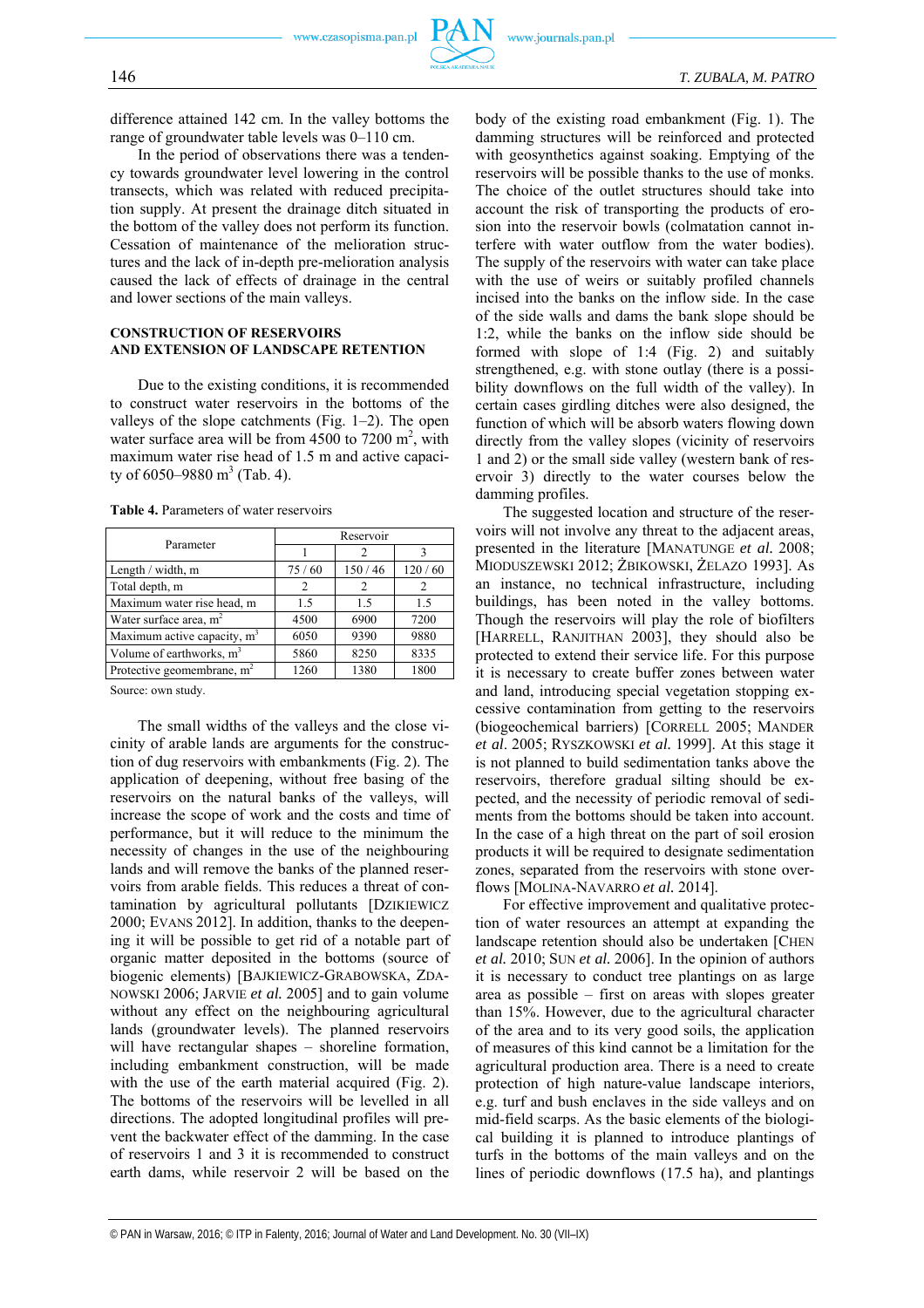

difference attained 142 cm. In the valley bottoms the range of groundwater table levels was 0–110 cm.

In the period of observations there was a tendency towards groundwater level lowering in the control transects, which was related with reduced precipitation supply. At present the drainage ditch situated in the bottom of the valley does not perform its function. Cessation of maintenance of the melioration structures and the lack of in-depth pre-melioration analysis caused the lack of effects of drainage in the central and lower sections of the main valleys.

#### **CONSTRUCTION OF RESERVOIRS AND EXTENSION OF LANDSCAPE RETENTION**

Due to the existing conditions, it is recommended to construct water reservoirs in the bottoms of the valleys of the slope catchments (Fig.  $1-2$ ). The open water surface area will be from  $4500$  to  $7200$  m<sup>2</sup>, with maximum water rise head of 1.5 m and active capacity of 6050–9880 m<sup>3</sup> (Tab. 4).

| Parameter                     | Reservoir |        |        |  |  |  |
|-------------------------------|-----------|--------|--------|--|--|--|
|                               |           |        |        |  |  |  |
| Length / width, m             | 75/60     | 150/46 | 120/60 |  |  |  |
| Total depth, m                |           | 2      |        |  |  |  |
| Maximum water rise head, m    | 1.5       | 1.5    | 1.5    |  |  |  |
| Water surface area, $m2$      | 4500      | 6900   | 7200   |  |  |  |
| Maximum active capacity, $m3$ | 6050      | 9390   | 9880   |  |  |  |
| Volume of earthworks, $m3$    | 5860      | 8250   | 8335   |  |  |  |
| Protective geomembrane, $m2$  | 1260      | 1380   | 1800   |  |  |  |

**Table 4.** Parameters of water reservoirs

Source: own study.

The small widths of the valleys and the close vicinity of arable lands are arguments for the construction of dug reservoirs with embankments (Fig. 2). The application of deepening, without free basing of the reservoirs on the natural banks of the valleys, will increase the scope of work and the costs and time of performance, but it will reduce to the minimum the necessity of changes in the use of the neighbouring lands and will remove the banks of the planned reservoirs from arable fields. This reduces a threat of contamination by agricultural pollutants [DZIKIEWICZ 2000; EVANS 2012]. In addition, thanks to the deepening it will be possible to get rid of a notable part of organic matter deposited in the bottoms (source of biogenic elements) [BAJKIEWICZ-GRABOWSKA, ZDA-NOWSKI 2006; JARVIE *et al.* 2005] and to gain volume without any effect on the neighbouring agricultural lands (groundwater levels). The planned reservoirs will have rectangular shapes – shoreline formation, including embankment construction, will be made with the use of the earth material acquired (Fig. 2). The bottoms of the reservoirs will be levelled in all directions. The adopted longitudinal profiles will prevent the backwater effect of the damming. In the case of reservoirs 1 and 3 it is recommended to construct earth dams, while reservoir 2 will be based on the

body of the existing road embankment (Fig. 1). The damming structures will be reinforced and protected with geosynthetics against soaking. Emptying of the reservoirs will be possible thanks to the use of monks. The choice of the outlet structures should take into account the risk of transporting the products of erosion into the reservoir bowls (colmatation cannot interfere with water outflow from the water bodies). The supply of the reservoirs with water can take place with the use of weirs or suitably profiled channels incised into the banks on the inflow side. In the case of the side walls and dams the bank slope should be 1:2, while the banks on the inflow side should be formed with slope of 1:4 (Fig. 2) and suitably strengthened, e.g. with stone outlay (there is a possibility downflows on the full width of the valley). In certain cases girdling ditches were also designed, the function of which will be absorb waters flowing down directly from the valley slopes (vicinity of reservoirs 1 and 2) or the small side valley (western bank of reservoir 3) directly to the water courses below the damming profiles.

The suggested location and structure of the reservoirs will not involve any threat to the adjacent areas, presented in the literature [MANATUNGE *et al.* 2008; MIODUSZEWSKI 2012; ŻBIKOWSKI, ŻELAZO 1993]. As an instance, no technical infrastructure, including buildings, has been noted in the valley bottoms. Though the reservoirs will play the role of biofilters [HARRELL, RANJITHAN 2003], they should also be protected to extend their service life. For this purpose it is necessary to create buffer zones between water and land, introducing special vegetation stopping excessive contamination from getting to the reservoirs (biogeochemical barriers) [CORRELL 2005; MANDER *et al*. 2005; RYSZKOWSKI *et al.* 1999]. At this stage it is not planned to build sedimentation tanks above the reservoirs, therefore gradual silting should be expected, and the necessity of periodic removal of sediments from the bottoms should be taken into account. In the case of a high threat on the part of soil erosion products it will be required to designate sedimentation zones, separated from the reservoirs with stone overflows [MOLINA-NAVARRO *et al.* 2014].

For effective improvement and qualitative protection of water resources an attempt at expanding the landscape retention should also be undertaken [CHEN *et al.* 2010; SUN *et al.* 2006]. In the opinion of authors it is necessary to conduct tree plantings on as large area as possible – first on areas with slopes greater than 15%. However, due to the agricultural character of the area and to its very good soils, the application of measures of this kind cannot be a limitation for the agricultural production area. There is a need to create protection of high nature-value landscape interiors, e.g. turf and bush enclaves in the side valleys and on mid-field scarps. As the basic elements of the biological building it is planned to introduce plantings of turfs in the bottoms of the main valleys and on the lines of periodic downflows (17.5 ha), and plantings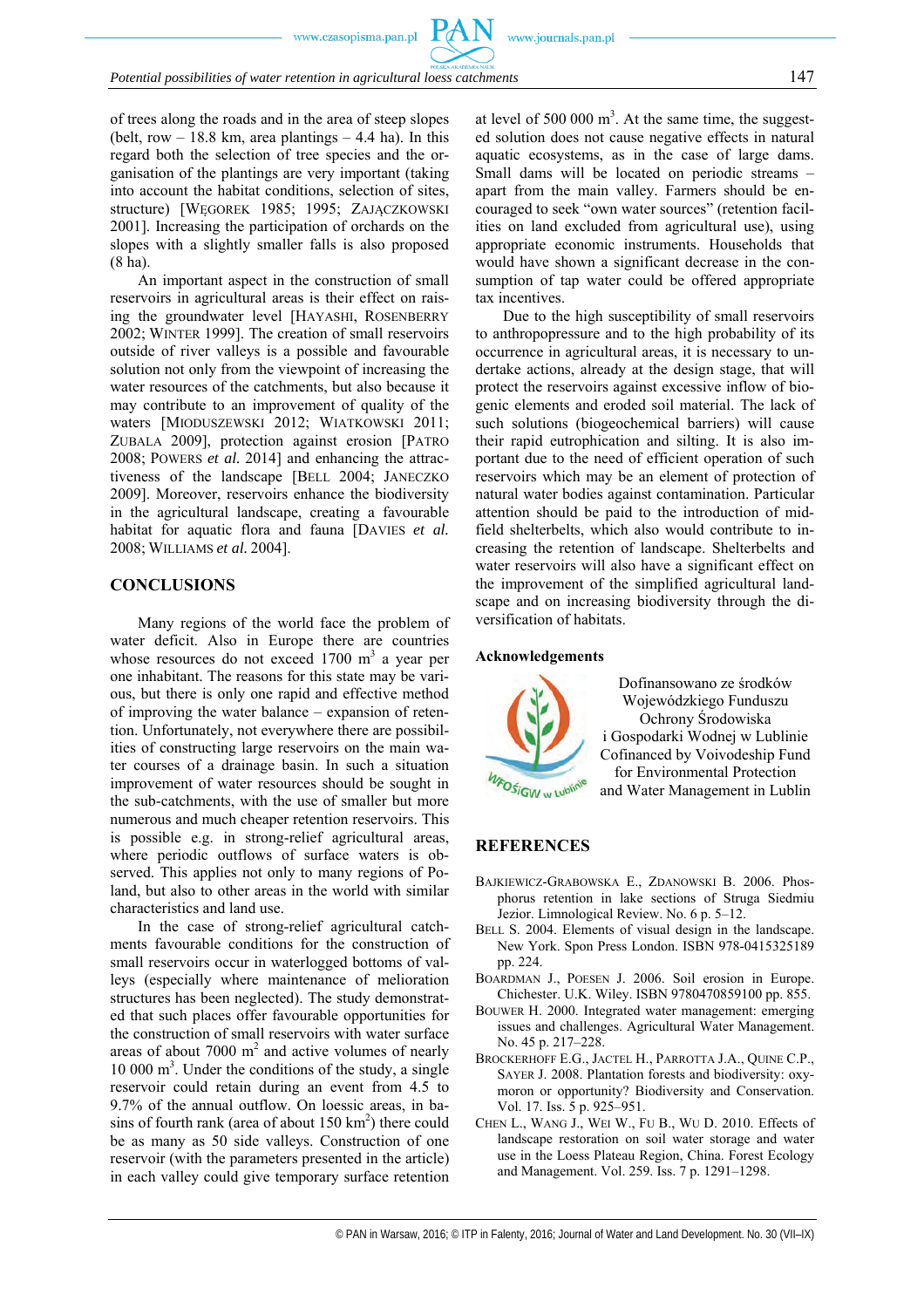# *Potential possibilities of water retention in agricultural loess catchments* 147

of trees along the roads and in the area of steep slopes (belt, row  $-18.8$  km, area plantings  $-4.4$  ha). In this regard both the selection of tree species and the organisation of the plantings are very important (taking into account the habitat conditions, selection of sites, structure) [WĘGOREK 1985; 1995; ZAJĄCZKOWSKI 2001]. Increasing the participation of orchards on the slopes with a slightly smaller falls is also proposed (8 ha).

An important aspect in the construction of small reservoirs in agricultural areas is their effect on raising the groundwater level [HAYASHI, ROSENBERRY 2002; WINTER 1999]. The creation of small reservoirs outside of river valleys is a possible and favourable solution not only from the viewpoint of increasing the water resources of the catchments, but also because it may contribute to an improvement of quality of the waters [MIODUSZEWSKI 2012; WIATKOWSKI 2011; ZUBALA 2009], protection against erosion [PATRO 2008; POWERS *et al.* 2014] and enhancing the attractiveness of the landscape [BELL 2004; JANECZKO 2009]. Moreover, reservoirs enhance the biodiversity in the agricultural landscape, creating a favourable habitat for aquatic flora and fauna [DAVIES *et al.* 2008; WILLIAMS *et al.* 2004].

# **CONCLUSIONS**

Many regions of the world face the problem of water deficit. Also in Europe there are countries whose resources do not exceed  $1700 \text{ m}^3$  a year per one inhabitant. The reasons for this state may be various, but there is only one rapid and effective method of improving the water balance – expansion of retention. Unfortunately, not everywhere there are possibilities of constructing large reservoirs on the main water courses of a drainage basin. In such a situation improvement of water resources should be sought in the sub-catchments, with the use of smaller but more numerous and much cheaper retention reservoirs. This is possible e.g. in strong-relief agricultural areas, where periodic outflows of surface waters is observed. This applies not only to many regions of Poland, but also to other areas in the world with similar characteristics and land use.

In the case of strong-relief agricultural catchments favourable conditions for the construction of small reservoirs occur in waterlogged bottoms of valleys (especially where maintenance of melioration structures has been neglected). The study demonstrated that such places offer favourable opportunities for the construction of small reservoirs with water surface areas of about  $7000 \text{ m}^2$  and active volumes of nearly 10 000 m3 . Under the conditions of the study, a single reservoir could retain during an event from 4.5 to 9.7% of the annual outflow. On loessic areas, in basins of fourth rank (area of about  $150 \text{ km}^2$ ) there could be as many as 50 side valleys. Construction of one reservoir (with the parameters presented in the article) in each valley could give temporary surface retention

at level of 500 000  $m<sup>3</sup>$ . At the same time, the suggested solution does not cause negative effects in natural aquatic ecosystems, as in the case of large dams. Small dams will be located on periodic streams – apart from the main valley. Farmers should be encouraged to seek "own water sources" (retention facilities on land excluded from agricultural use), using appropriate economic instruments. Households that would have shown a significant decrease in the consumption of tap water could be offered appropriate tax incentives.

Due to the high susceptibility of small reservoirs to anthropopressure and to the high probability of its occurrence in agricultural areas, it is necessary to undertake actions, already at the design stage, that will protect the reservoirs against excessive inflow of biogenic elements and eroded soil material. The lack of such solutions (biogeochemical barriers) will cause their rapid eutrophication and silting. It is also important due to the need of efficient operation of such reservoirs which may be an element of protection of natural water bodies against contamination. Particular attention should be paid to the introduction of midfield shelterbelts, which also would contribute to increasing the retention of landscape. Shelterbelts and water reservoirs will also have a significant effect on the improvement of the simplified agricultural landscape and on increasing biodiversity through the diversification of habitats.

#### **Acknowledgements**



Dofinansowano ze środków Wojewódzkiego Funduszu Ochrony Środowiska i Gospodarki Wodnej w Lublinie Cofinanced by Voivodeship Fund for Environmental Protection and Water Management in Lublin

# **REFERENCES**

- BAJKIEWICZ-GRABOWSKA E., ZDANOWSKI B. 2006. Phosphorus retention in lake sections of Struga Siedmiu Jezior. Limnological Review. No. 6 p. 5–12.
- BELL S. 2004. Elements of visual design in the landscape. New York. Spon Press London. ISBN 978-0415325189 pp. 224.
- BOARDMAN J., POESEN J. 2006. Soil erosion in Europe. Chichester. U.K. Wiley. ISBN 9780470859100 pp. 855.
- BOUWER H. 2000. Integrated water management: emerging issues and challenges. Agricultural Water Management. No. 45 p. 217–228.
- BROCKERHOFF E.G., JACTEL H., PARROTTA J.A., QUINE C.P., SAYER J. 2008. Plantation forests and biodiversity: oxymoron or opportunity? Biodiversity and Conservation. Vol. 17. Iss. 5 p. 925–951.
- CHEN L., WANG J., WEI W., FU B., WU D. 2010. Effects of landscape restoration on soil water storage and water use in the Loess Plateau Region, China. Forest Ecology and Management. Vol. 259. Iss. 7 p. 1291–1298.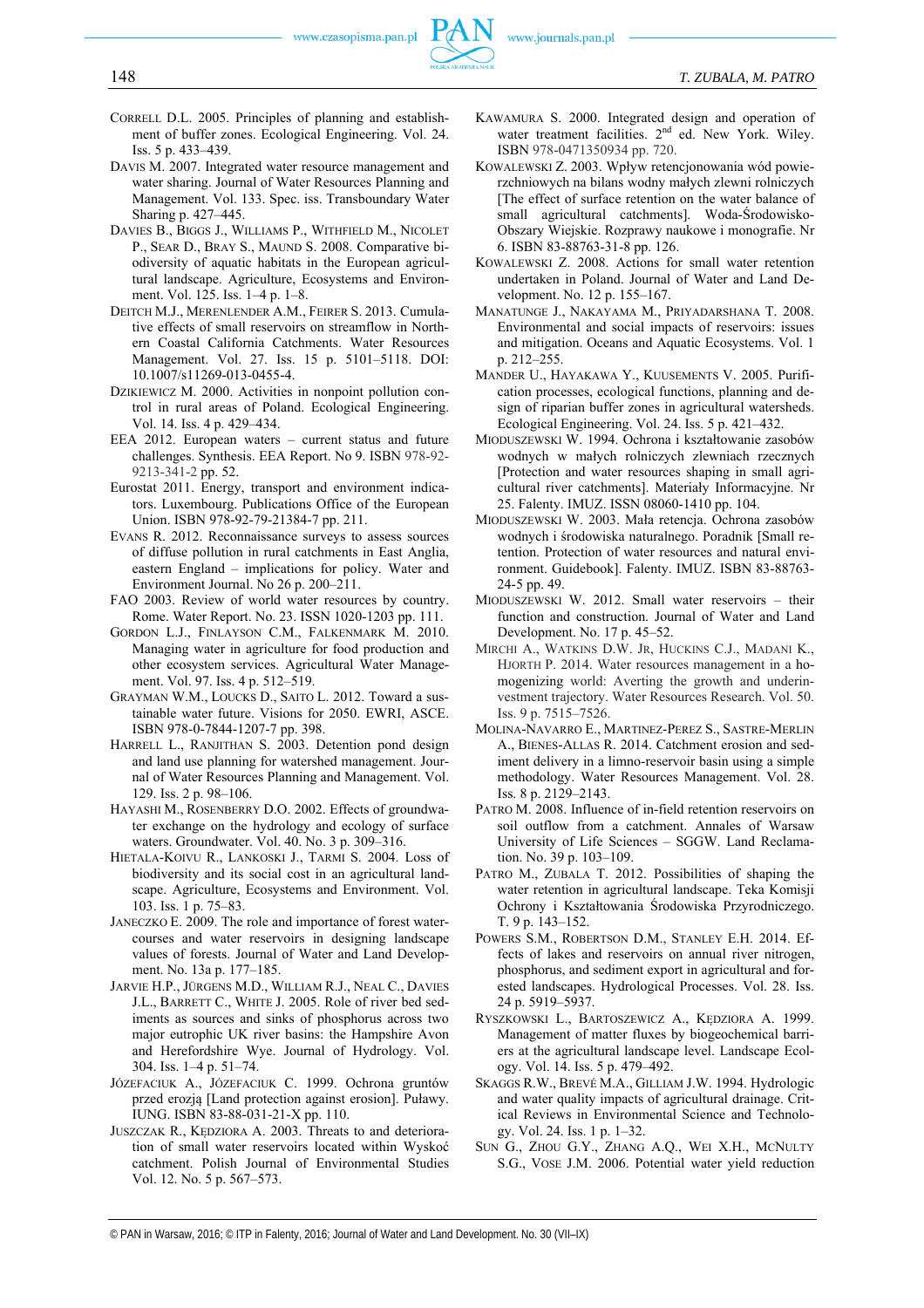- CORRELL D.L. 2005. Principles of planning and establishment of buffer zones. Ecological Engineering. Vol. 24. Iss. 5 p. 433–439.
- DAVIS M. 2007. Integrated water resource management and water sharing. Journal of Water Resources Planning and Management. Vol. 133. Spec. iss. Transboundary Water Sharing p. 427–445.
- DAVIES B., BIGGS J., WILLIAMS P., WITHFIELD M., NICOLET P., SEAR D., BRAY S., MAUND S. 2008. Comparative biodiversity of aquatic habitats in the European agricultural landscape. Agriculture, Ecosystems and Environment. Vol. 125. Iss. 1–4 p. 1–8.
- DEITCH M.J., MERENLENDER A.M., FEIRER S. 2013. Cumulative effects of small reservoirs on streamflow in Northern Coastal California Catchments. Water Resources Management. Vol. 27. Iss. 15 p. 5101–5118. DOI: 10.1007/s11269-013-0455-4.
- DZIKIEWICZ M. 2000. Activities in nonpoint pollution control in rural areas of Poland. Ecological Engineering. Vol. 14. Iss. 4 p. 429–434.
- EEA 2012. European waters current status and future challenges. Synthesis. EEA Report. No 9. ISBN 978-92- 9213-341-2 pp. 52.
- Eurostat 2011. Energy, transport and environment indicators. Luxembourg. Publications Office of the European Union. ISBN 978-92-79-21384-7 pp. 211.
- EVANS R. 2012. Reconnaissance surveys to assess sources of diffuse pollution in rural catchments in East Anglia, eastern England – implications for policy. Water and Environment Journal. No 26 p. 200–211.
- FAO 2003. Review of world water resources by country. Rome. Water Report. No. 23. ISSN 1020-1203 pp. 111.
- GORDON L.J., FINLAYSON C.M., FALKENMARK M. 2010. Managing water in agriculture for food production and other ecosystem services. Agricultural Water Management. Vol. 97. Iss. 4 p. 512–519.
- GRAYMAN W.M., LOUCKS D., SAITO L. 2012. Toward a sustainable water future. Visions for 2050. EWRI, ASCE. ISBN 978-0-7844-1207-7 pp. 398.
- HARRELL L., RANJITHAN S. 2003. Detention pond design and land use planning for watershed management. Journal of Water Resources Planning and Management. Vol. 129. Iss. 2 p. 98–106.
- HAYASHI M., ROSENBERRY D.O. 2002. Effects of groundwater exchange on the hydrology and ecology of surface waters. Groundwater. Vol. 40. No. 3 p. 309–316.
- HIETALA-KOIVU R., LANKOSKI J., TARMI S. 2004. Loss of biodiversity and its social cost in an agricultural landscape. Agriculture, Ecosystems and Environment. Vol. 103. Iss. 1 p. 75–83.
- JANECZKO E. 2009. The role and importance of forest watercourses and water reservoirs in designing landscape values of forests. Journal of Water and Land Development. No. 13a p. 177–185.
- JARVIE H.P., JÜRGENS M.D., WILLIAM R.J., NEAL C., DAVIES J.L., BARRETT C., WHITE J. 2005. Role of river bed sediments as sources and sinks of phosphorus across two major eutrophic UK river basins: the Hampshire Avon and Herefordshire Wye. Journal of Hydrology. Vol. 304. Iss. 1–4 p. 51–74.
- JÓZEFACIUK A., JÓZEFACIUK C. 1999. Ochrona gruntów przed erozją [Land protection against erosion]. Puławy. IUNG. ISBN 83-88-031-21-X pp. 110.
- JUSZCZAK R., KĘDZIORA A. 2003. Threats to and deterioration of small water reservoirs located within Wyskoć catchment. Polish Journal of Environmental Studies Vol. 12. No. 5 p. 567–573.
- KAWAMURA S. 2000. Integrated design and operation of water treatment facilities. 2<sup>nd</sup> ed. New York. Wiley. ISBN 978-0471350934 pp. 720.
- KOWALEWSKI Z. 2003. Wpływ retencjonowania wód powierzchniowych na bilans wodny małych zlewni rolniczych [The effect of surface retention on the water balance of small agricultural catchments]. Woda-Środowisko-Obszary Wiejskie. Rozprawy naukowe i monografie. Nr 6. ISBN 83-88763-31-8 pp. 126.
- KOWALEWSKI Z. 2008. Actions for small water retention undertaken in Poland. Journal of Water and Land Development. No. 12 p. 155–167.
- MANATUNGE J., NAKAYAMA M., PRIYADARSHANA T. 2008. Environmental and social impacts of reservoirs: issues and mitigation. Oceans and Aquatic Ecosystems. Vol. 1 p. 212–255.
- MANDER U., HAYAKAWA Y., KUUSEMENTS V. 2005. Purification processes, ecological functions, planning and design of riparian buffer zones in agricultural watersheds. Ecological Engineering. Vol. 24. Iss. 5 p. 421–432.
- MIODUSZEWSKI W. 1994. Ochrona i kształtowanie zasobów wodnych w małych rolniczych zlewniach rzecznych [Protection and water resources shaping in small agricultural river catchments]. Materiały Informacyjne. Nr 25. Falenty. IMUZ. ISSN 08060-1410 pp. 104.
- MIODUSZEWSKI W. 2003. Mała retencja. Ochrona zasobów wodnych i środowiska naturalnego. Poradnik [Small retention. Protection of water resources and natural environment. Guidebook]. Falenty. IMUZ. ISBN 83-88763- 24-5 pp. 49.
- MIODUSZEWSKI W. 2012. Small water reservoirs their function and construction. Journal of Water and Land Development. No. 17 p. 45–52.
- MIRCHI A., WATKINS D.W. JR, HUCKINS C.J., MADANI K., HJORTH P. 2014. Water resources management in a homogenizing world: Averting the growth and underinvestment trajectory. Water Resources Research. Vol. 50. Iss. 9 p. 7515–7526.
- MOLINA-NAVARRO E., MARTINEZ-PEREZ S., SASTRE-MERLIN A., BIENES-ALLAS R. 2014. Catchment erosion and sediment delivery in a limno-reservoir basin using a simple methodology. Water Resources Management. Vol. 28. Iss. 8 p. 2129–2143.
- PATRO M. 2008. Influence of in-field retention reservoirs on soil outflow from a catchment. Annales of Warsaw University of Life Sciences – SGGW. Land Reclamation. No. 39 p. 103–109.
- PATRO M., ZUBALA T. 2012. Possibilities of shaping the water retention in agricultural landscape. Teka Komisji Ochrony i Kształtowania Środowiska Przyrodniczego. T. 9 p. 143–152.
- POWERS S.M., ROBERTSON D.M., STANLEY E.H. 2014. Effects of lakes and reservoirs on annual river nitrogen, phosphorus, and sediment export in agricultural and forested landscapes. Hydrological Processes. Vol. 28. Iss. 24 p. 5919–5937.
- RYSZKOWSKI L., BARTOSZEWICZ A., KĘDZIORA A. 1999. Management of matter fluxes by biogeochemical barriers at the agricultural landscape level. Landscape Ecology. Vol. 14. Iss. 5 p. 479–492.
- SKAGGS R.W., BREVÉ M.A., GILLIAM J.W. 1994. Hydrologic and water quality impacts of agricultural drainage. Critical Reviews in Environmental Science and Technology. Vol. 24. Iss. 1 p. 1–32.
- SUN G., ZHOU G.Y., ZHANG A.Q., WEI X.H., MCNULTY S.G., VOSE J.M. 2006. Potential water yield reduction